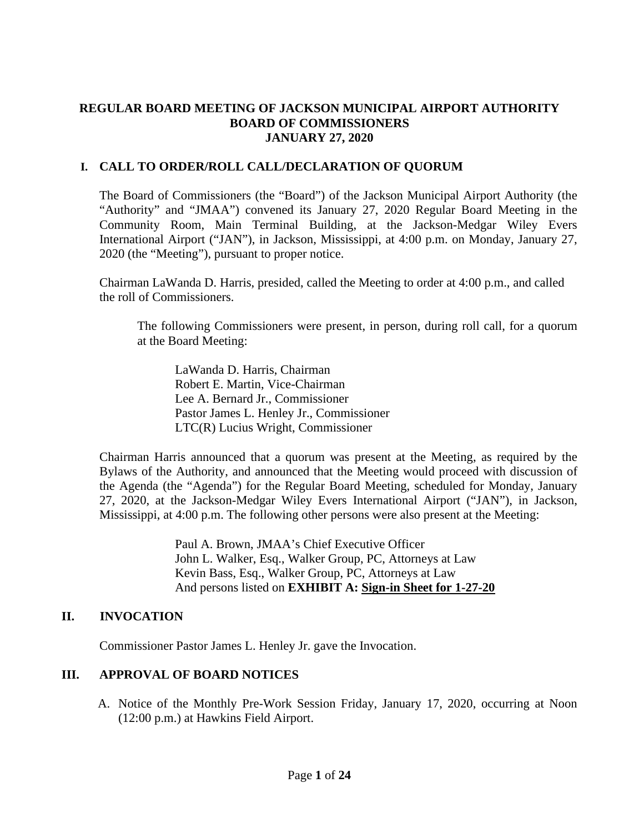## **REGULAR BOARD MEETING OF JACKSON MUNICIPAL AIRPORT AUTHORITY BOARD OF COMMISSIONERS JANUARY 27, 2020**

# **I. CALL TO ORDER/ROLL CALL/DECLARATION OF QUORUM**

The Board of Commissioners (the "Board") of the Jackson Municipal Airport Authority (the "Authority" and "JMAA") convened its January 27, 2020 Regular Board Meeting in the Community Room, Main Terminal Building, at the Jackson-Medgar Wiley Evers International Airport ("JAN"), in Jackson, Mississippi, at 4:00 p.m. on Monday, January 27, 2020 (the "Meeting"), pursuant to proper notice.

Chairman LaWanda D. Harris, presided, called the Meeting to order at 4:00 p.m., and called the roll of Commissioners.

The following Commissioners were present, in person, during roll call, for a quorum at the Board Meeting:

LaWanda D. Harris, Chairman Robert E. Martin, Vice-Chairman Lee A. Bernard Jr., Commissioner Pastor James L. Henley Jr., Commissioner LTC(R) Lucius Wright, Commissioner

Chairman Harris announced that a quorum was present at the Meeting, as required by the Bylaws of the Authority, and announced that the Meeting would proceed with discussion of the Agenda (the "Agenda") for the Regular Board Meeting, scheduled for Monday, January 27, 2020, at the Jackson-Medgar Wiley Evers International Airport ("JAN"), in Jackson, Mississippi, at 4:00 p.m. The following other persons were also present at the Meeting:

> Paul A. Brown, JMAA's Chief Executive Officer John L. Walker, Esq., Walker Group, PC, Attorneys at Law Kevin Bass, Esq., Walker Group, PC, Attorneys at Law And persons listed on **EXHIBIT A: Sign-in Sheet for 1-27-20**

## **II. INVOCATION**

Commissioner Pastor James L. Henley Jr. gave the Invocation.

# **III. APPROVAL OF BOARD NOTICES**

A. Notice of the Monthly Pre-Work Session Friday, January 17, 2020, occurring at Noon (12:00 p.m.) at Hawkins Field Airport.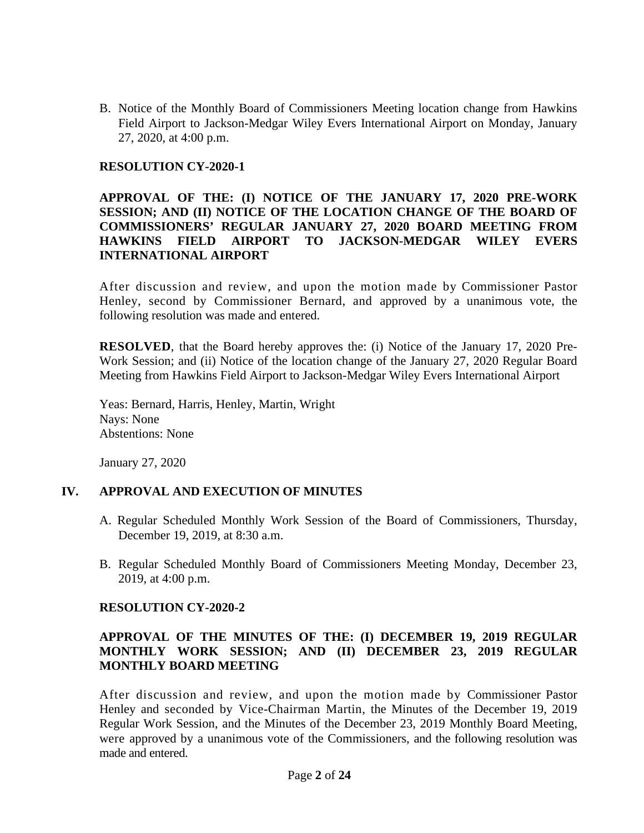B. Notice of the Monthly Board of Commissioners Meeting location change from Hawkins Field Airport to Jackson-Medgar Wiley Evers International Airport on Monday, January 27, 2020, at 4:00 p.m.

#### **RESOLUTION CY-2020-1**

#### **APPROVAL OF THE: (I) NOTICE OF THE JANUARY 17, 2020 PRE-WORK SESSION; AND (II) NOTICE OF THE LOCATION CHANGE OF THE BOARD OF COMMISSIONERS' REGULAR JANUARY 27, 2020 BOARD MEETING FROM HAWKINS FIELD AIRPORT TO JACKSON-MEDGAR WILEY EVERS INTERNATIONAL AIRPORT**

After discussion and review, and upon the motion made by Commissioner Pastor Henley, second by Commissioner Bernard, and approved by a unanimous vote, the following resolution was made and entered.

**RESOLVED**, that the Board hereby approves the: (i) Notice of the January 17, 2020 Pre-Work Session; and (ii) Notice of the location change of the January 27, 2020 Regular Board Meeting from Hawkins Field Airport to Jackson-Medgar Wiley Evers International Airport

Yeas: Bernard, Harris, Henley, Martin, Wright Nays: None Abstentions: None

January 27, 2020

## **IV. APPROVAL AND EXECUTION OF MINUTES**

- A. Regular Scheduled Monthly Work Session of the Board of Commissioners, Thursday, December 19, 2019, at 8:30 a.m.
- B. Regular Scheduled Monthly Board of Commissioners Meeting Monday, December 23, 2019, at 4:00 p.m.

#### **RESOLUTION CY-2020-2**

## **APPROVAL OF THE MINUTES OF THE: (I) DECEMBER 19, 2019 REGULAR MONTHLY WORK SESSION; AND (II) DECEMBER 23, 2019 REGULAR MONTHLY BOARD MEETING**

After discussion and review, and upon the motion made by Commissioner Pastor Henley and seconded by Vice-Chairman Martin, the Minutes of the December 19, 2019 Regular Work Session, and the Minutes of the December 23, 2019 Monthly Board Meeting, were approved by a unanimous vote of the Commissioners, and the following resolution was made and entered.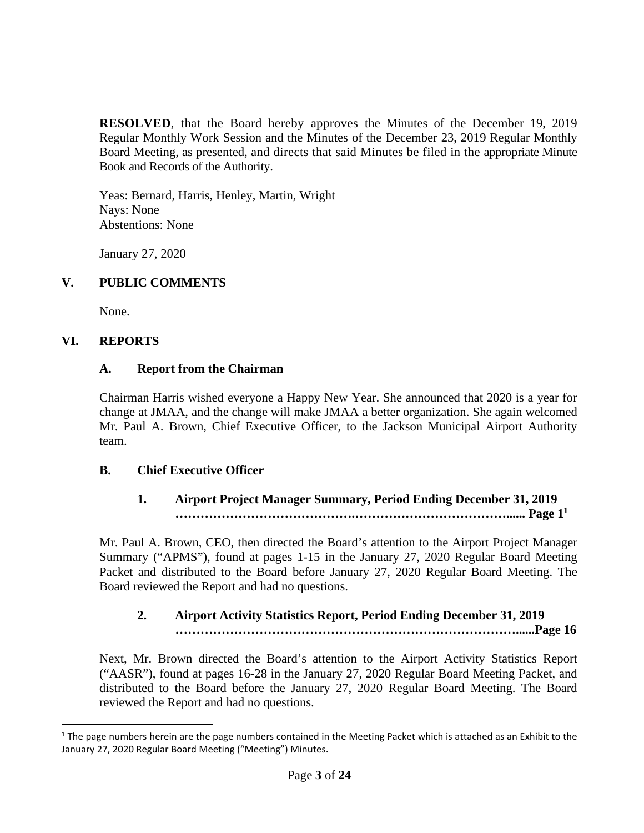**RESOLVED**, that the Board hereby approves the Minutes of the December 19, 2019 Regular Monthly Work Session and the Minutes of the December 23, 2019 Regular Monthly Board Meeting, as presented, and directs that said Minutes be filed in the appropriate Minute Book and Records of the Authority.

Yeas: Bernard, Harris, Henley, Martin, Wright Nays: None Abstentions: None

January 27, 2020

# **V. PUBLIC COMMENTS**

None.

## **VI. REPORTS**

#### **A. Report from the Chairman**

Chairman Harris wished everyone a Happy New Year. She announced that 2020 is a year for change at JMAA, and the change will make JMAA a better organization. She again welcomed Mr. Paul A. Brown, Chief Executive Officer, to the Jackson Municipal Airport Authority team.

## **B. Chief Executive Officer**

## **1. Airport Project Manager Summary, Period Ending December 31, 2019 …………………………………….………………………………...... Page [1](#page-2-0)<sup>1</sup>**

Mr. Paul A. Brown, CEO, then directed the Board's attention to the Airport Project Manager Summary ("APMS"), found at pages 1-15 in the January 27, 2020 Regular Board Meeting Packet and distributed to the Board before January 27, 2020 Regular Board Meeting. The Board reviewed the Report and had no questions.

# **2. Airport Activity Statistics Report, Period Ending December 31, 2019 ………………………………………………………………………......Page 16**

Next, Mr. Brown directed the Board's attention to the Airport Activity Statistics Report ("AASR"), found at pages 16-28 in the January 27, 2020 Regular Board Meeting Packet, and distributed to the Board before the January 27, 2020 Regular Board Meeting. The Board reviewed the Report and had no questions.

<span id="page-2-0"></span> $1$  The page numbers herein are the page numbers contained in the Meeting Packet which is attached as an Exhibit to the January 27, 2020 Regular Board Meeting ("Meeting") Minutes.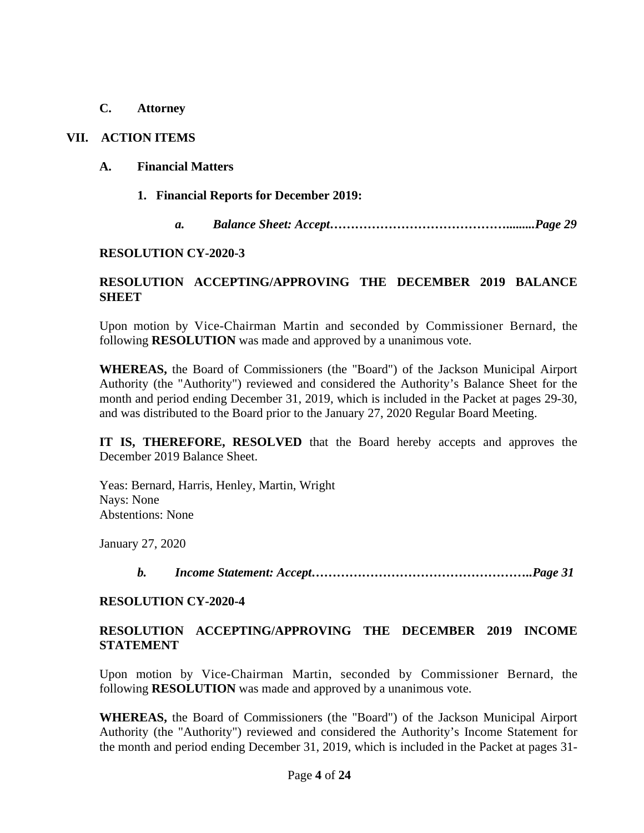**C. Attorney**

## **VII. ACTION ITEMS**

#### **A. Financial Matters**

- **1. Financial Reports for December 2019:**
	- *a. Balance Sheet: Accept…………………………………….........Page 29*

#### **RESOLUTION CY-2020-3**

## **RESOLUTION ACCEPTING/APPROVING THE DECEMBER 2019 BALANCE SHEET**

Upon motion by Vice-Chairman Martin and seconded by Commissioner Bernard, the following **RESOLUTION** was made and approved by a unanimous vote.

**WHEREAS,** the Board of Commissioners (the "Board") of the Jackson Municipal Airport Authority (the "Authority") reviewed and considered the Authority's Balance Sheet for the month and period ending December 31, 2019, which is included in the Packet at pages 29-30, and was distributed to the Board prior to the January 27, 2020 Regular Board Meeting.

**IT IS, THEREFORE, RESOLVED** that the Board hereby accepts and approves the December 2019 Balance Sheet.

Yeas: Bernard, Harris, Henley, Martin, Wright Nays: None Abstentions: None

January 27, 2020

*b. Income Statement: Accept……………………………………………..Page 31*

#### **RESOLUTION CY-2020-4**

## **RESOLUTION ACCEPTING/APPROVING THE DECEMBER 2019 INCOME STATEMENT**

Upon motion by Vice-Chairman Martin, seconded by Commissioner Bernard, the following **RESOLUTION** was made and approved by a unanimous vote.

**WHEREAS,** the Board of Commissioners (the "Board") of the Jackson Municipal Airport Authority (the "Authority") reviewed and considered the Authority's Income Statement for the month and period ending December 31, 2019, which is included in the Packet at pages 31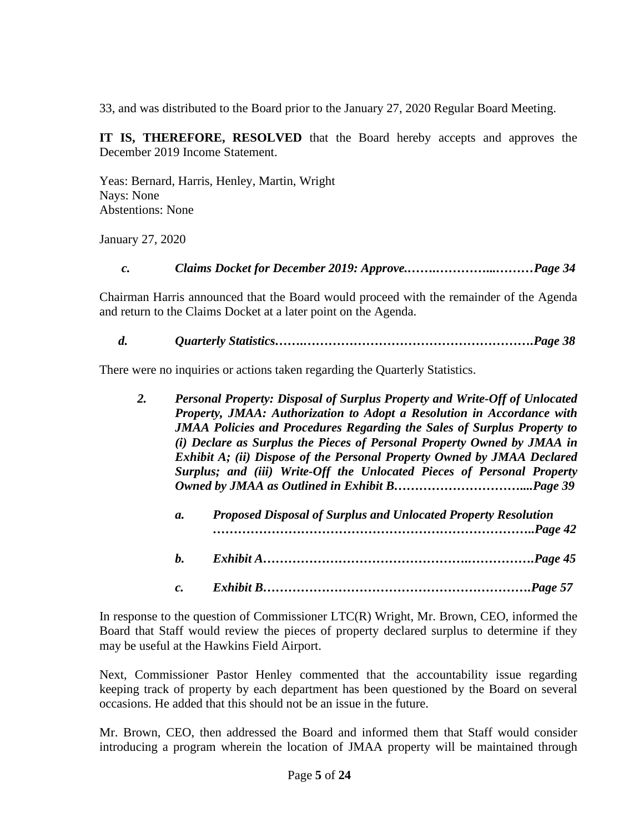33, and was distributed to the Board prior to the January 27, 2020 Regular Board Meeting.

**IT IS, THEREFORE, RESOLVED** that the Board hereby accepts and approves the December 2019 Income Statement.

Yeas: Bernard, Harris, Henley, Martin, Wright Nays: None Abstentions: None

January 27, 2020

*c. Claims Docket for December 2019: Approve.…….…………...………Page 34*

Chairman Harris announced that the Board would proceed with the remainder of the Agenda and return to the Claims Docket at a later point on the Agenda.

*d. Quarterly Statistics…….……………………………………………….Page 38*

There were no inquiries or actions taken regarding the Quarterly Statistics.

| 2. |                                                                                | Personal Property: Disposal of Surplus Property and Write-Off of Unlocated |  |
|----|--------------------------------------------------------------------------------|----------------------------------------------------------------------------|--|
|    | Property, JMAA: Authorization to Adopt a Resolution in Accordance with         |                                                                            |  |
|    | <b>JMAA Policies and Procedures Regarding the Sales of Surplus Property to</b> |                                                                            |  |
|    | (i) Declare as Surplus the Pieces of Personal Property Owned by JMAA in        |                                                                            |  |
|    | Exhibit A; (ii) Dispose of the Personal Property Owned by JMAA Declared        |                                                                            |  |
|    |                                                                                | Surplus; and (iii) Write-Off the Unlocated Pieces of Personal Property     |  |
|    |                                                                                |                                                                            |  |
|    |                                                                                |                                                                            |  |
|    | $\mathfrak{a}.$                                                                | Proposed Disposal of Surplus and Unlocated Property Resolution             |  |
|    |                                                                                |                                                                            |  |
|    |                                                                                |                                                                            |  |

- *b. Exhibit A………………………………………….…………….Page 45*
- *c. Exhibit B……………………………………………………….Page 57*

In response to the question of Commissioner LTC(R) Wright, Mr. Brown, CEO, informed the Board that Staff would review the pieces of property declared surplus to determine if they may be useful at the Hawkins Field Airport.

Next, Commissioner Pastor Henley commented that the accountability issue regarding keeping track of property by each department has been questioned by the Board on several occasions. He added that this should not be an issue in the future.

Mr. Brown, CEO, then addressed the Board and informed them that Staff would consider introducing a program wherein the location of JMAA property will be maintained through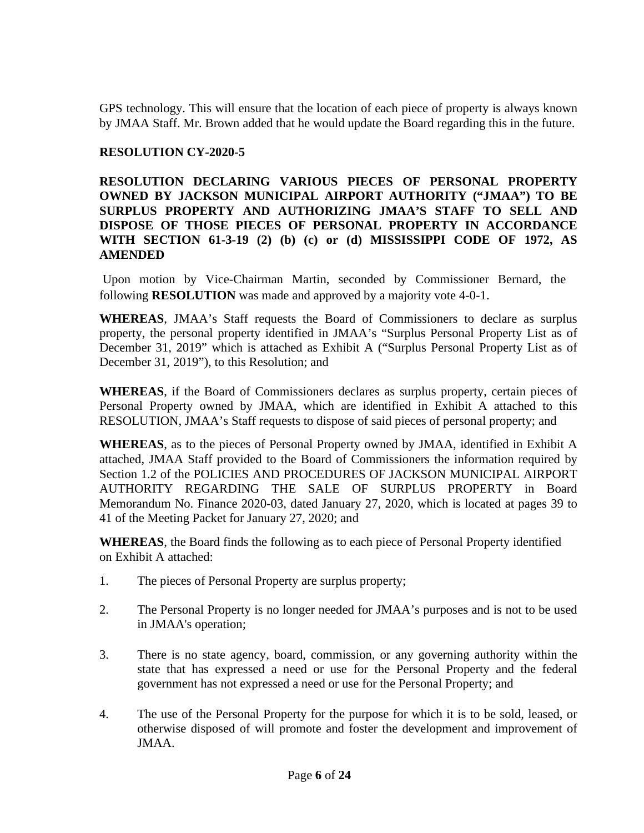GPS technology. This will ensure that the location of each piece of property is always known by JMAA Staff. Mr. Brown added that he would update the Board regarding this in the future.

## **RESOLUTION CY-2020-5**

**RESOLUTION DECLARING VARIOUS PIECES OF PERSONAL PROPERTY OWNED BY JACKSON MUNICIPAL AIRPORT AUTHORITY ("JMAA") TO BE SURPLUS PROPERTY AND AUTHORIZING JMAA'S STAFF TO SELL AND DISPOSE OF THOSE PIECES OF PERSONAL PROPERTY IN ACCORDANCE WITH SECTION 61-3-19 (2) (b) (c) or (d) MISSISSIPPI CODE OF 1972, AS AMENDED**

Upon motion by Vice-Chairman Martin, seconded by Commissioner Bernard, the following **RESOLUTION** was made and approved by a majority vote 4-0-1.

**WHEREAS**, JMAA's Staff requests the Board of Commissioners to declare as surplus property, the personal property identified in JMAA's "Surplus Personal Property List as of December 31, 2019" which is attached as Exhibit A ("Surplus Personal Property List as of December 31, 2019"), to this Resolution; and

**WHEREAS**, if the Board of Commissioners declares as surplus property, certain pieces of Personal Property owned by JMAA, which are identified in Exhibit A attached to this RESOLUTION, JMAA's Staff requests to dispose of said pieces of personal property; and

**WHEREAS**, as to the pieces of Personal Property owned by JMAA, identified in Exhibit A attached, JMAA Staff provided to the Board of Commissioners the information required by Section 1.2 of the POLICIES AND PROCEDURES OF JACKSON MUNICIPAL AIRPORT AUTHORITY REGARDING THE SALE OF SURPLUS PROPERTY in Board Memorandum No. Finance 2020-03, dated January 27, 2020, which is located at pages 39 to 41 of the Meeting Packet for January 27, 2020; and

**WHEREAS**, the Board finds the following as to each piece of Personal Property identified on Exhibit A attached:

- 1. The pieces of Personal Property are surplus property;
- 2. The Personal Property is no longer needed for JMAA's purposes and is not to be used in JMAA's operation;
- 3. There is no state agency, board, commission, or any governing authority within the state that has expressed a need or use for the Personal Property and the federal government has not expressed a need or use for the Personal Property; and
- 4. The use of the Personal Property for the purpose for which it is to be sold, leased, or otherwise disposed of will promote and foster the development and improvement of JMAA.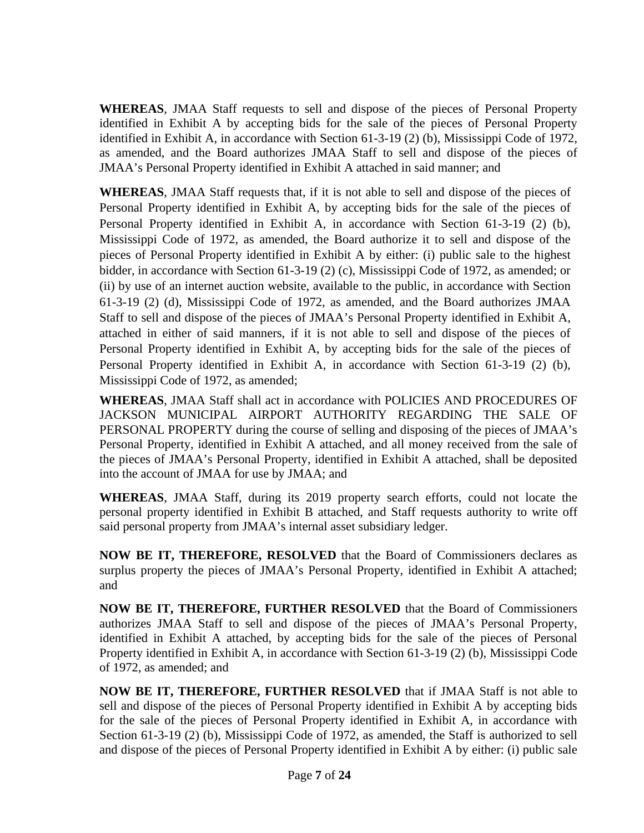**WHEREAS**, JMAA Staff requests to sell and dispose of the pieces of Personal Property identified in Exhibit A by accepting bids for the sale of the pieces of Personal Property identified in Exhibit A, in accordance with Section 61-3-19 (2) (b), Mississippi Code of 1972, as amended, and the Board authorizes JMAA Staff to sell and dispose of the pieces of JMAA's Personal Property identified in Exhibit A attached in said manner; and

**WHEREAS**, JMAA Staff requests that, if it is not able to sell and dispose of the pieces of Personal Property identified in Exhibit A, by accepting bids for the sale of the pieces of Personal Property identified in Exhibit A, in accordance with Section 61-3-19 (2) (b), Mississippi Code of 1972, as amended, the Board authorize it to sell and dispose of the pieces of Personal Property identified in Exhibit A by either: (i) public sale to the highest bidder, in accordance with Section 61-3-19 (2) (c), Mississippi Code of 1972, as amended; or (ii) by use of an internet auction website, available to the public, in accordance with Section 61-3-19 (2) (d), Mississippi Code of 1972, as amended, and the Board authorizes JMAA Staff to sell and dispose of the pieces of JMAA's Personal Property identified in Exhibit A, attached in either of said manners, if it is not able to sell and dispose of the pieces of Personal Property identified in Exhibit A, by accepting bids for the sale of the pieces of Personal Property identified in Exhibit A, in accordance with Section 61-3-19 (2) (b), Mississippi Code of 1972, as amended;

**WHEREAS**, JMAA Staff shall act in accordance with POLICIES AND PROCEDURES OF JACKSON MUNICIPAL AIRPORT AUTHORITY REGARDING THE SALE OF PERSONAL PROPERTY during the course of selling and disposing of the pieces of JMAA's Personal Property, identified in Exhibit A attached, and all money received from the sale of the pieces of JMAA's Personal Property, identified in Exhibit A attached, shall be deposited into the account of JMAA for use by JMAA; and

**WHEREAS**, JMAA Staff, during its 2019 property search efforts, could not locate the personal property identified in Exhibit B attached, and Staff requests authority to write off said personal property from JMAA's internal asset subsidiary ledger.

**NOW BE IT, THEREFORE, RESOLVED** that the Board of Commissioners declares as surplus property the pieces of JMAA's Personal Property, identified in Exhibit A attached; and

**NOW BE IT, THEREFORE, FURTHER RESOLVED** that the Board of Commissioners authorizes JMAA Staff to sell and dispose of the pieces of JMAA's Personal Property, identified in Exhibit A attached, by accepting bids for the sale of the pieces of Personal Property identified in Exhibit A, in accordance with Section 61-3-19 (2) (b), Mississippi Code of 1972, as amended; and

**NOW BE IT, THEREFORE, FURTHER RESOLVED** that if JMAA Staff is not able to sell and dispose of the pieces of Personal Property identified in Exhibit A by accepting bids for the sale of the pieces of Personal Property identified in Exhibit A, in accordance with Section 61-3-19 (2) (b), Mississippi Code of 1972, as amended, the Staff is authorized to sell and dispose of the pieces of Personal Property identified in Exhibit A by either: (i) public sale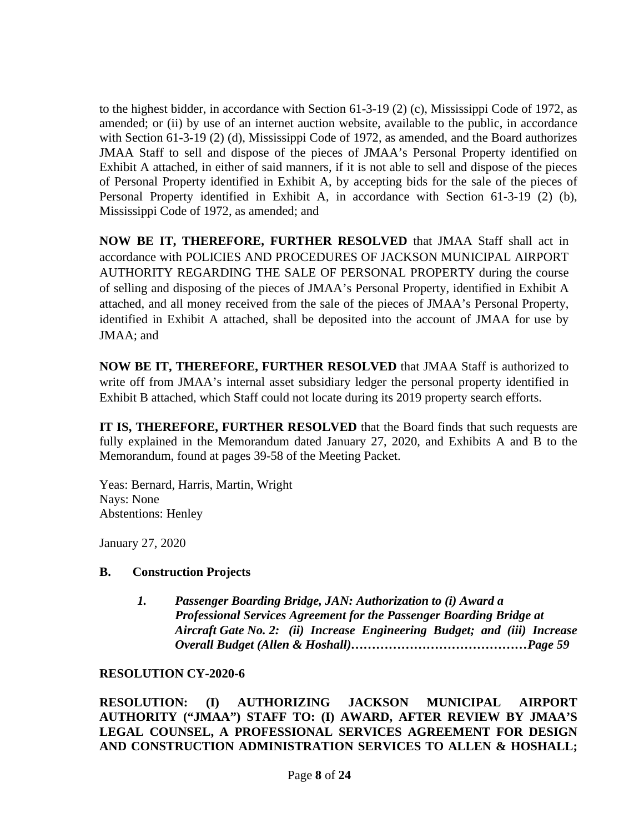to the highest bidder, in accordance with Section 61-3-19 (2) (c), Mississippi Code of 1972, as amended; or (ii) by use of an internet auction website, available to the public, in accordance with Section 61-3-19 (2) (d), Mississippi Code of 1972, as amended, and the Board authorizes JMAA Staff to sell and dispose of the pieces of JMAA's Personal Property identified on Exhibit A attached, in either of said manners, if it is not able to sell and dispose of the pieces of Personal Property identified in Exhibit A, by accepting bids for the sale of the pieces of Personal Property identified in Exhibit A, in accordance with Section 61-3-19 (2) (b), Mississippi Code of 1972, as amended; and

**NOW BE IT, THEREFORE, FURTHER RESOLVED** that JMAA Staff shall act in accordance with POLICIES AND PROCEDURES OF JACKSON MUNICIPAL AIRPORT AUTHORITY REGARDING THE SALE OF PERSONAL PROPERTY during the course of selling and disposing of the pieces of JMAA's Personal Property, identified in Exhibit A attached, and all money received from the sale of the pieces of JMAA's Personal Property, identified in Exhibit A attached, shall be deposited into the account of JMAA for use by JMAA; and

**NOW BE IT, THEREFORE, FURTHER RESOLVED** that JMAA Staff is authorized to write off from JMAA's internal asset subsidiary ledger the personal property identified in Exhibit B attached, which Staff could not locate during its 2019 property search efforts.

**IT IS, THEREFORE, FURTHER RESOLVED** that the Board finds that such requests are fully explained in the Memorandum dated January 27, 2020, and Exhibits A and B to the Memorandum, found at pages 39-58 of the Meeting Packet.

Yeas: Bernard, Harris, Martin, Wright Nays: None Abstentions: Henley

January 27, 2020

## **B. Construction Projects**

*1. Passenger Boarding Bridge, JAN: Authorization to (i) Award a Professional Services Agreement for the Passenger Boarding Bridge at Aircraft Gate No. 2: (ii) Increase Engineering Budget; and (iii) Increase Overall Budget (Allen & Hoshall)……………………………………Page 59*

#### **RESOLUTION CY-2020-6**

**RESOLUTION: (I) AUTHORIZING JACKSON MUNICIPAL AIRPORT AUTHORITY ("JMAA") STAFF TO: (I) AWARD, AFTER REVIEW BY JMAA'S LEGAL COUNSEL, A PROFESSIONAL SERVICES AGREEMENT FOR DESIGN AND CONSTRUCTION ADMINISTRATION SERVICES TO ALLEN & HOSHALL;**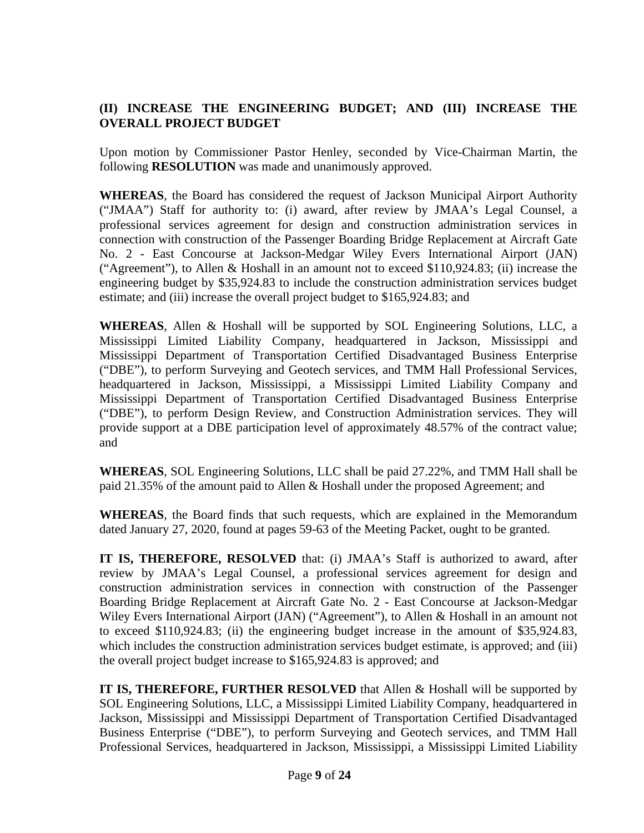# **(II) INCREASE THE ENGINEERING BUDGET; AND (III) INCREASE THE OVERALL PROJECT BUDGET**

Upon motion by Commissioner Pastor Henley, seconded by Vice-Chairman Martin, the following **RESOLUTION** was made and unanimously approved.

**WHEREAS**, the Board has considered the request of Jackson Municipal Airport Authority ("JMAA") Staff for authority to: (i) award, after review by JMAA's Legal Counsel, a professional services agreement for design and construction administration services in connection with construction of the Passenger Boarding Bridge Replacement at Aircraft Gate No. 2 - East Concourse at Jackson-Medgar Wiley Evers International Airport (JAN) ("Agreement"), to Allen & Hoshall in an amount not to exceed \$110,924.83; (ii) increase the engineering budget by \$35,924.83 to include the construction administration services budget estimate; and (iii) increase the overall project budget to \$165,924.83; and

**WHEREAS**, Allen & Hoshall will be supported by SOL Engineering Solutions, LLC, a Mississippi Limited Liability Company, headquartered in Jackson, Mississippi and Mississippi Department of Transportation Certified Disadvantaged Business Enterprise ("DBE"), to perform Surveying and Geotech services, and TMM Hall Professional Services, headquartered in Jackson, Mississippi, a Mississippi Limited Liability Company and Mississippi Department of Transportation Certified Disadvantaged Business Enterprise ("DBE"), to perform Design Review, and Construction Administration services. They will provide support at a DBE participation level of approximately 48.57% of the contract value; and

**WHEREAS**, SOL Engineering Solutions, LLC shall be paid 27.22%, and TMM Hall shall be paid 21.35% of the amount paid to Allen & Hoshall under the proposed Agreement; and

**WHEREAS**, the Board finds that such requests, which are explained in the Memorandum dated January 27, 2020, found at pages 59-63 of the Meeting Packet, ought to be granted.

**IT IS, THEREFORE, RESOLVED** that: (i) JMAA's Staff is authorized to award, after review by JMAA's Legal Counsel, a professional services agreement for design and construction administration services in connection with construction of the Passenger Boarding Bridge Replacement at Aircraft Gate No. 2 - East Concourse at Jackson-Medgar Wiley Evers International Airport (JAN) ("Agreement"), to Allen & Hoshall in an amount not to exceed \$110,924.83; (ii) the engineering budget increase in the amount of \$35,924.83, which includes the construction administration services budget estimate, is approved; and (iii) the overall project budget increase to \$165,924.83 is approved; and

**IT IS, THEREFORE, FURTHER RESOLVED** that Allen & Hoshall will be supported by SOL Engineering Solutions, LLC, a Mississippi Limited Liability Company, headquartered in Jackson, Mississippi and Mississippi Department of Transportation Certified Disadvantaged Business Enterprise ("DBE"), to perform Surveying and Geotech services, and TMM Hall Professional Services, headquartered in Jackson, Mississippi, a Mississippi Limited Liability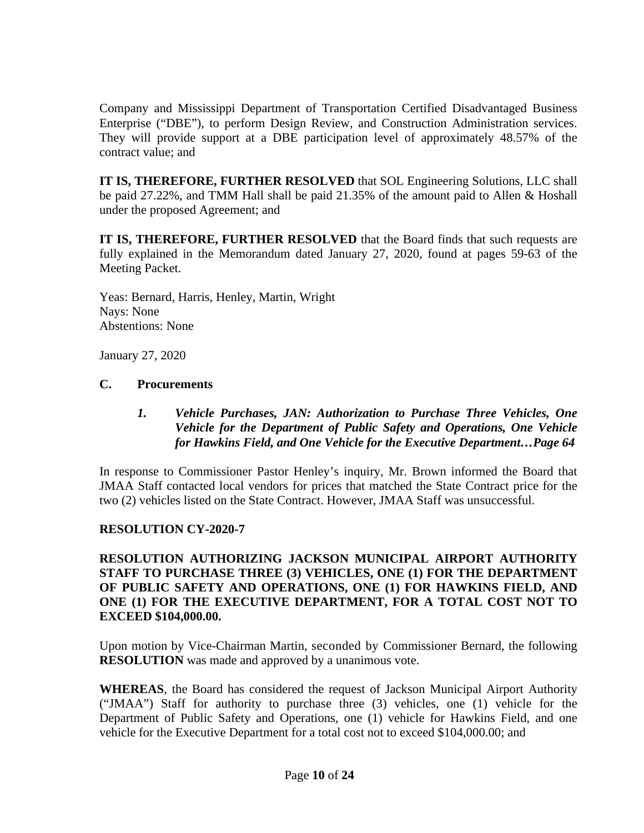Company and Mississippi Department of Transportation Certified Disadvantaged Business Enterprise ("DBE"), to perform Design Review, and Construction Administration services. They will provide support at a DBE participation level of approximately 48.57% of the contract value; and

**IT IS, THEREFORE, FURTHER RESOLVED** that SOL Engineering Solutions, LLC shall be paid 27.22%, and TMM Hall shall be paid 21.35% of the amount paid to Allen & Hoshall under the proposed Agreement; and

**IT IS, THEREFORE, FURTHER RESOLVED** that the Board finds that such requests are fully explained in the Memorandum dated January 27, 2020, found at pages 59-63 of the Meeting Packet.

Yeas: Bernard, Harris, Henley, Martin, Wright Nays: None Abstentions: None

January 27, 2020

## **C. Procurements**

## *1. Vehicle Purchases, JAN: Authorization to Purchase Three Vehicles, One Vehicle for the Department of Public Safety and Operations, One Vehicle for Hawkins Field, and One Vehicle for the Executive Department…Page 64*

In response to Commissioner Pastor Henley's inquiry, Mr. Brown informed the Board that JMAA Staff contacted local vendors for prices that matched the State Contract price for the two (2) vehicles listed on the State Contract. However, JMAA Staff was unsuccessful.

## **RESOLUTION CY-2020-7**

## **RESOLUTION AUTHORIZING JACKSON MUNICIPAL AIRPORT AUTHORITY STAFF TO PURCHASE THREE (3) VEHICLES, ONE (1) FOR THE DEPARTMENT OF PUBLIC SAFETY AND OPERATIONS, ONE (1) FOR HAWKINS FIELD, AND ONE (1) FOR THE EXECUTIVE DEPARTMENT, FOR A TOTAL COST NOT TO EXCEED \$104,000.00.**

Upon motion by Vice-Chairman Martin, seconded by Commissioner Bernard, the following **RESOLUTION** was made and approved by a unanimous vote.

**WHEREAS**, the Board has considered the request of Jackson Municipal Airport Authority ("JMAA") Staff for authority to purchase three (3) vehicles, one (1) vehicle for the Department of Public Safety and Operations, one (1) vehicle for Hawkins Field, and one vehicle for the Executive Department for a total cost not to exceed \$104,000.00; and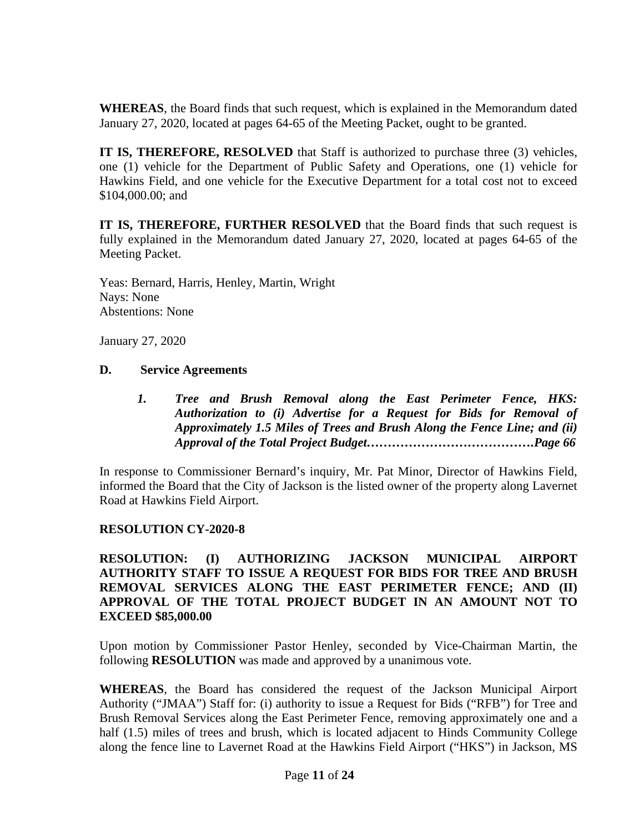**WHEREAS**, the Board finds that such request, which is explained in the Memorandum dated January 27, 2020, located at pages 64-65 of the Meeting Packet, ought to be granted.

**IT IS, THEREFORE, RESOLVED** that Staff is authorized to purchase three (3) vehicles, one (1) vehicle for the Department of Public Safety and Operations, one (1) vehicle for Hawkins Field, and one vehicle for the Executive Department for a total cost not to exceed \$104,000.00; and

**IT IS, THEREFORE, FURTHER RESOLVED** that the Board finds that such request is fully explained in the Memorandum dated January 27, 2020, located at pages 64-65 of the Meeting Packet.

Yeas: Bernard, Harris, Henley, Martin, Wright Nays: None Abstentions: None

January 27, 2020

#### **D. Service Agreements**

*1. Tree and Brush Removal along the East Perimeter Fence, HKS: Authorization to (i) Advertise for a Request for Bids for Removal of Approximately 1.5 Miles of Trees and Brush Along the Fence Line; and (ii) Approval of the Total Project Budget………………………………….Page 66*

In response to Commissioner Bernard's inquiry, Mr. Pat Minor, Director of Hawkins Field, informed the Board that the City of Jackson is the listed owner of the property along Lavernet Road at Hawkins Field Airport.

## **RESOLUTION CY-2020-8**

**RESOLUTION: (I) AUTHORIZING JACKSON MUNICIPAL AIRPORT AUTHORITY STAFF TO ISSUE A REQUEST FOR BIDS FOR TREE AND BRUSH REMOVAL SERVICES ALONG THE EAST PERIMETER FENCE; AND (II) APPROVAL OF THE TOTAL PROJECT BUDGET IN AN AMOUNT NOT TO EXCEED \$85,000.00**

Upon motion by Commissioner Pastor Henley, seconded by Vice-Chairman Martin, the following **RESOLUTION** was made and approved by a unanimous vote.

**WHEREAS***,* the Board has considered the request of the Jackson Municipal Airport Authority ("JMAA") Staff for: (i) authority to issue a Request for Bids ("RFB") for Tree and Brush Removal Services along the East Perimeter Fence, removing approximately one and a half (1.5) miles of trees and brush, which is located adjacent to Hinds Community College along the fence line to Lavernet Road at the Hawkins Field Airport ("HKS") in Jackson, MS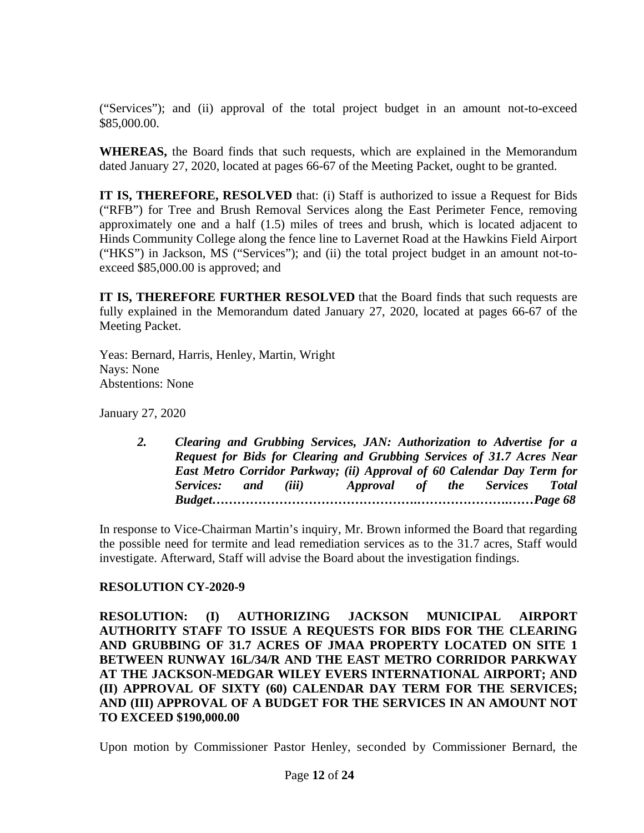("Services"); and (ii) approval of the total project budget in an amount not-to-exceed \$85,000.00.

**WHEREAS,** the Board finds that such requests, which are explained in the Memorandum dated January 27, 2020, located at pages 66-67 of the Meeting Packet, ought to be granted.

**IT IS, THEREFORE, RESOLVED** that: (i) Staff is authorized to issue a Request for Bids ("RFB") for Tree and Brush Removal Services along the East Perimeter Fence, removing approximately one and a half (1.5) miles of trees and brush, which is located adjacent to Hinds Community College along the fence line to Lavernet Road at the Hawkins Field Airport ("HKS") in Jackson, MS ("Services"); and (ii) the total project budget in an amount not-toexceed \$85,000.00 is approved; and

**IT IS, THEREFORE FURTHER RESOLVED** that the Board finds that such requests are fully explained in the Memorandum dated January 27, 2020, located at pages 66-67 of the Meeting Packet.

Yeas: Bernard, Harris, Henley, Martin, Wright Nays: None Abstentions: None

January 27, 2020

*2. Clearing and Grubbing Services, JAN: Authorization to Advertise for a Request for Bids for Clearing and Grubbing Services of 31.7 Acres Near East Metro Corridor Parkway; (ii) Approval of 60 Calendar Day Term for Services: and (iii) Approval of the Services Total Budget………………………………………….………………….……Page 68*

In response to Vice-Chairman Martin's inquiry, Mr. Brown informed the Board that regarding the possible need for termite and lead remediation services as to the 31.7 acres, Staff would investigate. Afterward, Staff will advise the Board about the investigation findings.

## **RESOLUTION CY-2020-9**

**RESOLUTION: (I) AUTHORIZING JACKSON MUNICIPAL AIRPORT AUTHORITY STAFF TO ISSUE A REQUESTS FOR BIDS FOR THE CLEARING AND GRUBBING OF 31.7 ACRES OF JMAA PROPERTY LOCATED ON SITE 1 BETWEEN RUNWAY 16L/34/R AND THE EAST METRO CORRIDOR PARKWAY AT THE JACKSON-MEDGAR WILEY EVERS INTERNATIONAL AIRPORT; AND (II) APPROVAL OF SIXTY (60) CALENDAR DAY TERM FOR THE SERVICES; AND (III) APPROVAL OF A BUDGET FOR THE SERVICES IN AN AMOUNT NOT TO EXCEED \$190,000.00**

Upon motion by Commissioner Pastor Henley, seconded by Commissioner Bernard, the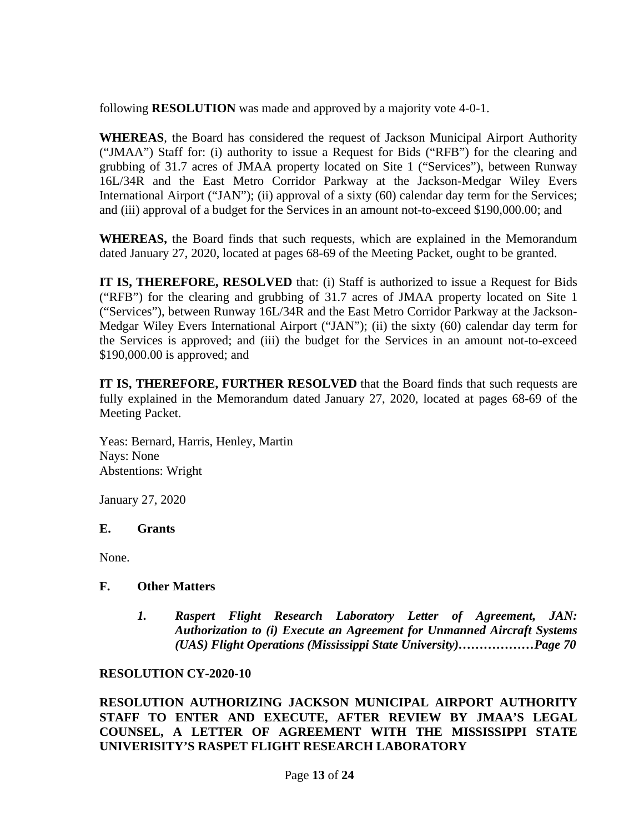following **RESOLUTION** was made and approved by a majority vote 4-0-1.

**WHEREAS**, the Board has considered the request of Jackson Municipal Airport Authority ("JMAA") Staff for: (i) authority to issue a Request for Bids ("RFB") for the clearing and grubbing of 31.7 acres of JMAA property located on Site 1 ("Services"), between Runway 16L/34R and the East Metro Corridor Parkway at the Jackson-Medgar Wiley Evers International Airport ("JAN"); (ii) approval of a sixty (60) calendar day term for the Services; and (iii) approval of a budget for the Services in an amount not-to-exceed \$190,000.00; and

**WHEREAS,** the Board finds that such requests, which are explained in the Memorandum dated January 27, 2020, located at pages 68-69 of the Meeting Packet, ought to be granted.

**IT IS, THEREFORE, RESOLVED** that: (i) Staff is authorized to issue a Request for Bids ("RFB") for the clearing and grubbing of 31.7 acres of JMAA property located on Site 1 ("Services"), between Runway 16L/34R and the East Metro Corridor Parkway at the Jackson-Medgar Wiley Evers International Airport ("JAN"); (ii) the sixty (60) calendar day term for the Services is approved; and (iii) the budget for the Services in an amount not-to-exceed \$190,000.00 is approved; and

**IT IS, THEREFORE, FURTHER RESOLVED** that the Board finds that such requests are fully explained in the Memorandum dated January 27, 2020, located at pages 68-69 of the Meeting Packet.

Yeas: Bernard, Harris, Henley, Martin Nays: None Abstentions: Wright

January 27, 2020

#### **E. Grants**

None.

#### **F. Other Matters**

*1. Raspert Flight Research Laboratory Letter of Agreement, JAN: Authorization to (i) Execute an Agreement for Unmanned Aircraft Systems (UAS) Flight Operations (Mississippi State University)………………Page 70*

#### **RESOLUTION CY-2020-10**

**RESOLUTION AUTHORIZING JACKSON MUNICIPAL AIRPORT AUTHORITY STAFF TO ENTER AND EXECUTE, AFTER REVIEW BY JMAA'S LEGAL COUNSEL, A LETTER OF AGREEMENT WITH THE MISSISSIPPI STATE UNIVERISITY'S RASPET FLIGHT RESEARCH LABORATORY**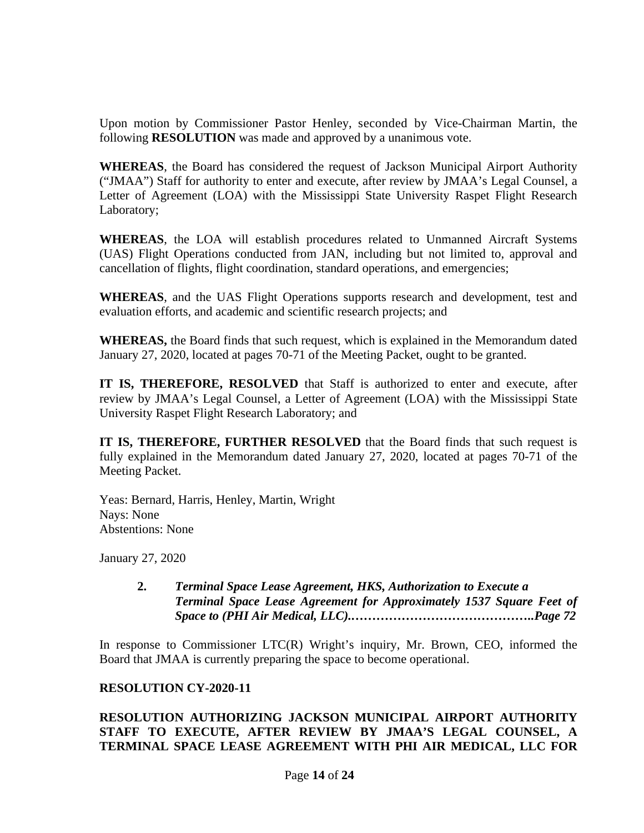Upon motion by Commissioner Pastor Henley, seconded by Vice-Chairman Martin, the following **RESOLUTION** was made and approved by a unanimous vote.

**WHEREAS**, the Board has considered the request of Jackson Municipal Airport Authority ("JMAA") Staff for authority to enter and execute, after review by JMAA's Legal Counsel, a Letter of Agreement (LOA) with the Mississippi State University Raspet Flight Research Laboratory;

**WHEREAS**, the LOA will establish procedures related to Unmanned Aircraft Systems (UAS) Flight Operations conducted from JAN, including but not limited to, approval and cancellation of flights, flight coordination, standard operations, and emergencies;

**WHEREAS**, and the UAS Flight Operations supports research and development, test and evaluation efforts, and academic and scientific research projects; and

**WHEREAS,** the Board finds that such request, which is explained in the Memorandum dated January 27, 2020, located at pages 70-71 of the Meeting Packet, ought to be granted.

**IT IS, THEREFORE, RESOLVED** that Staff is authorized to enter and execute, after review by JMAA's Legal Counsel, a Letter of Agreement (LOA) with the Mississippi State University Raspet Flight Research Laboratory; and

**IT IS, THEREFORE, FURTHER RESOLVED** that the Board finds that such request is fully explained in the Memorandum dated January 27, 2020, located at pages 70-71 of the Meeting Packet.

Yeas: Bernard, Harris, Henley, Martin, Wright Nays: None Abstentions: None

January 27, 2020

**2.** *Terminal Space Lease Agreement, HKS, Authorization to Execute a Terminal Space Lease Agreement for Approximately 1537 Square Feet of Space to (PHI Air Medical, LLC).……………………………………..Page 72*

In response to Commissioner LTC(R) Wright's inquiry, Mr. Brown, CEO, informed the Board that JMAA is currently preparing the space to become operational.

## **RESOLUTION CY-2020-11**

## **RESOLUTION AUTHORIZING JACKSON MUNICIPAL AIRPORT AUTHORITY STAFF TO EXECUTE, AFTER REVIEW BY JMAA'S LEGAL COUNSEL, A TERMINAL SPACE LEASE AGREEMENT WITH PHI AIR MEDICAL, LLC FOR**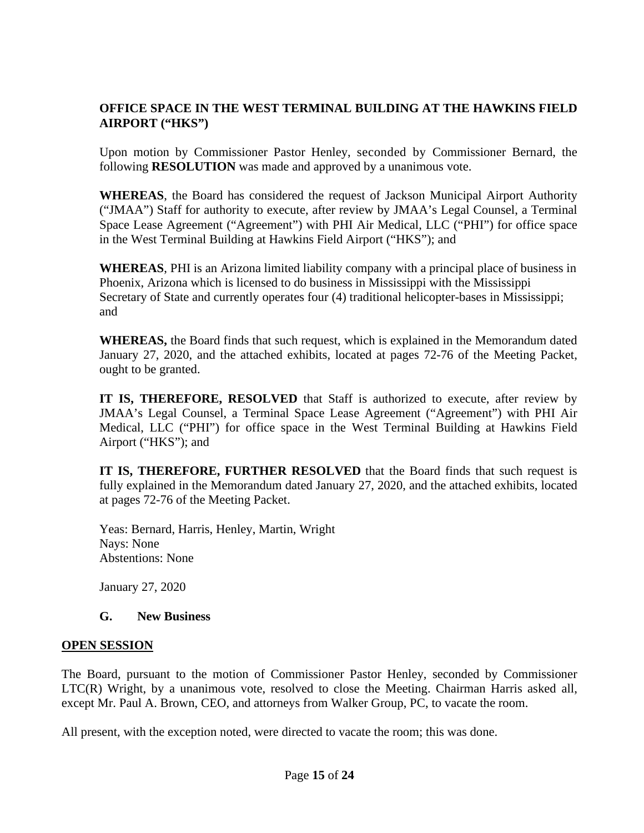# **OFFICE SPACE IN THE WEST TERMINAL BUILDING AT THE HAWKINS FIELD AIRPORT ("HKS")**

Upon motion by Commissioner Pastor Henley, seconded by Commissioner Bernard, the following **RESOLUTION** was made and approved by a unanimous vote.

**WHEREAS**, the Board has considered the request of Jackson Municipal Airport Authority ("JMAA") Staff for authority to execute, after review by JMAA's Legal Counsel, a Terminal Space Lease Agreement ("Agreement") with PHI Air Medical, LLC ("PHI") for office space in the West Terminal Building at Hawkins Field Airport ("HKS"); and

**WHEREAS**, PHI is an Arizona limited liability company with a principal place of business in Phoenix, Arizona which is licensed to do business in Mississippi with the Mississippi Secretary of State and currently operates four (4) traditional helicopter-bases in Mississippi; and

**WHEREAS,** the Board finds that such request, which is explained in the Memorandum dated January 27, 2020, and the attached exhibits, located at pages 72-76 of the Meeting Packet, ought to be granted.

**IT IS, THEREFORE, RESOLVED** that Staff is authorized to execute, after review by JMAA's Legal Counsel, a Terminal Space Lease Agreement ("Agreement") with PHI Air Medical, LLC ("PHI") for office space in the West Terminal Building at Hawkins Field Airport ("HKS"); and

**IT IS, THEREFORE, FURTHER RESOLVED** that the Board finds that such request is fully explained in the Memorandum dated January 27, 2020, and the attached exhibits, located at pages 72-76 of the Meeting Packet.

Yeas: Bernard, Harris, Henley, Martin, Wright Nays: None Abstentions: None

January 27, 2020

## **G. New Business**

## **OPEN SESSION**

The Board, pursuant to the motion of Commissioner Pastor Henley, seconded by Commissioner LTC(R) Wright, by a unanimous vote, resolved to close the Meeting. Chairman Harris asked all, except Mr. Paul A. Brown, CEO, and attorneys from Walker Group, PC, to vacate the room.

All present, with the exception noted, were directed to vacate the room; this was done.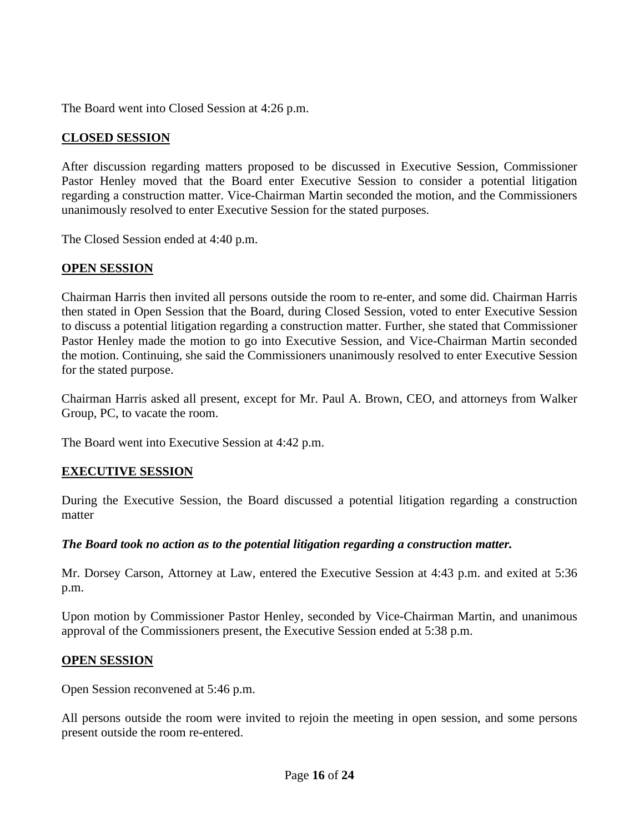The Board went into Closed Session at 4:26 p.m.

## **CLOSED SESSION**

After discussion regarding matters proposed to be discussed in Executive Session, Commissioner Pastor Henley moved that the Board enter Executive Session to consider a potential litigation regarding a construction matter. Vice-Chairman Martin seconded the motion, and the Commissioners unanimously resolved to enter Executive Session for the stated purposes.

The Closed Session ended at 4:40 p.m.

## **OPEN SESSION**

Chairman Harris then invited all persons outside the room to re-enter, and some did. Chairman Harris then stated in Open Session that the Board, during Closed Session, voted to enter Executive Session to discuss a potential litigation regarding a construction matter. Further, she stated that Commissioner Pastor Henley made the motion to go into Executive Session, and Vice-Chairman Martin seconded the motion. Continuing, she said the Commissioners unanimously resolved to enter Executive Session for the stated purpose.

Chairman Harris asked all present, except for Mr. Paul A. Brown, CEO, and attorneys from Walker Group, PC, to vacate the room.

The Board went into Executive Session at 4:42 p.m.

## **EXECUTIVE SESSION**

During the Executive Session, the Board discussed a potential litigation regarding a construction matter

## *The Board took no action as to the potential litigation regarding a construction matter.*

Mr. Dorsey Carson, Attorney at Law, entered the Executive Session at 4:43 p.m. and exited at 5:36 p.m.

Upon motion by Commissioner Pastor Henley, seconded by Vice-Chairman Martin, and unanimous approval of the Commissioners present, the Executive Session ended at 5:38 p.m.

## **OPEN SESSION**

Open Session reconvened at 5:46 p.m.

All persons outside the room were invited to rejoin the meeting in open session, and some persons present outside the room re-entered.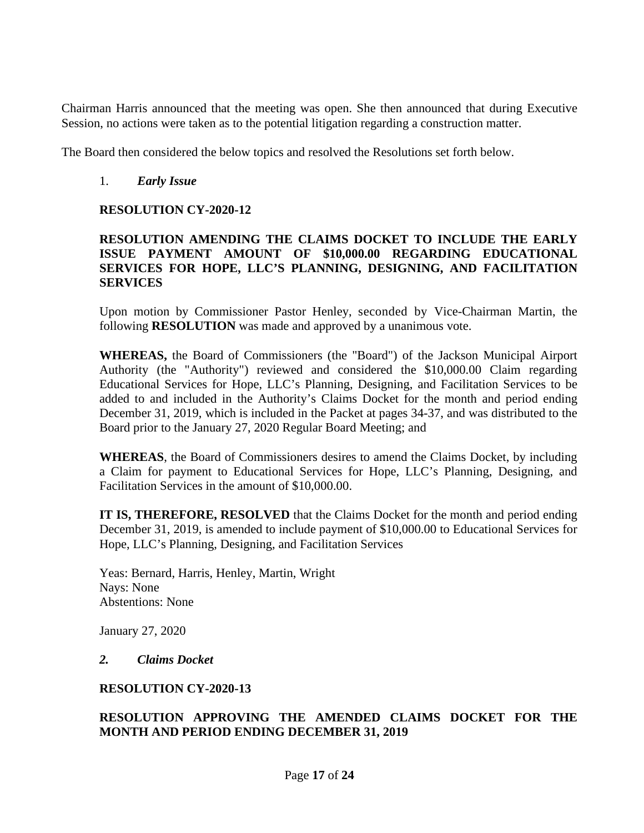Chairman Harris announced that the meeting was open. She then announced that during Executive Session, no actions were taken as to the potential litigation regarding a construction matter.

The Board then considered the below topics and resolved the Resolutions set forth below.

## 1. *Early Issue*

## **RESOLUTION CY-2020-12**

## **RESOLUTION AMENDING THE CLAIMS DOCKET TO INCLUDE THE EARLY ISSUE PAYMENT AMOUNT OF \$10,000.00 REGARDING EDUCATIONAL SERVICES FOR HOPE, LLC'S PLANNING, DESIGNING, AND FACILITATION SERVICES**

Upon motion by Commissioner Pastor Henley, seconded by Vice-Chairman Martin, the following **RESOLUTION** was made and approved by a unanimous vote.

**WHEREAS,** the Board of Commissioners (the "Board") of the Jackson Municipal Airport Authority (the "Authority") reviewed and considered the \$10,000.00 Claim regarding Educational Services for Hope, LLC's Planning, Designing, and Facilitation Services to be added to and included in the Authority's Claims Docket for the month and period ending December 31, 2019, which is included in the Packet at pages 34-37, and was distributed to the Board prior to the January 27, 2020 Regular Board Meeting; and

**WHEREAS**, the Board of Commissioners desires to amend the Claims Docket, by including a Claim for payment to Educational Services for Hope, LLC's Planning, Designing, and Facilitation Services in the amount of \$10,000.00.

**IT IS, THEREFORE, RESOLVED** that the Claims Docket for the month and period ending December 31, 2019, is amended to include payment of \$10,000.00 to Educational Services for Hope, LLC's Planning, Designing, and Facilitation Services

Yeas: Bernard, Harris, Henley, Martin, Wright Nays: None Abstentions: None

January 27, 2020

## *2. Claims Docket*

#### **RESOLUTION CY-2020-13**

## **RESOLUTION APPROVING THE AMENDED CLAIMS DOCKET FOR THE MONTH AND PERIOD ENDING DECEMBER 31, 2019**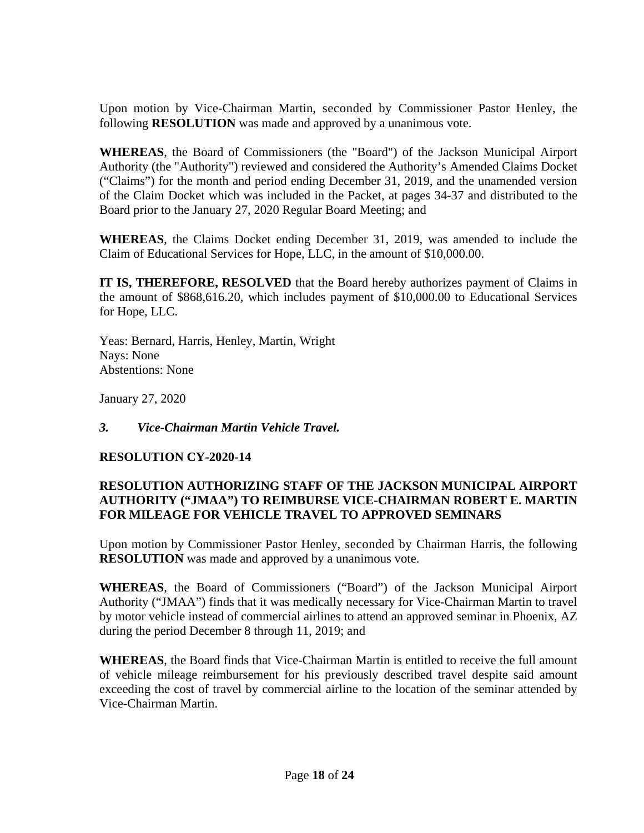Upon motion by Vice-Chairman Martin, seconded by Commissioner Pastor Henley, the following **RESOLUTION** was made and approved by a unanimous vote.

**WHEREAS**, the Board of Commissioners (the "Board") of the Jackson Municipal Airport Authority (the "Authority") reviewed and considered the Authority's Amended Claims Docket ("Claims") for the month and period ending December 31, 2019, and the unamended version of the Claim Docket which was included in the Packet, at pages 34-37 and distributed to the Board prior to the January 27, 2020 Regular Board Meeting; and

**WHEREAS**, the Claims Docket ending December 31, 2019, was amended to include the Claim of Educational Services for Hope, LLC, in the amount of \$10,000.00.

**IT IS, THEREFORE, RESOLVED** that the Board hereby authorizes payment of Claims in the amount of \$868,616.20, which includes payment of \$10,000.00 to Educational Services for Hope, LLC.

Yeas: Bernard, Harris, Henley, Martin, Wright Nays: None Abstentions: None

January 27, 2020

## *3. Vice-Chairman Martin Vehicle Travel.*

## **RESOLUTION CY-2020-14**

# **RESOLUTION AUTHORIZING STAFF OF THE JACKSON MUNICIPAL AIRPORT AUTHORITY ("JMAA") TO REIMBURSE VICE-CHAIRMAN ROBERT E. MARTIN FOR MILEAGE FOR VEHICLE TRAVEL TO APPROVED SEMINARS**

Upon motion by Commissioner Pastor Henley, seconded by Chairman Harris, the following **RESOLUTION** was made and approved by a unanimous vote.

**WHEREAS**, the Board of Commissioners ("Board") of the Jackson Municipal Airport Authority ("JMAA") finds that it was medically necessary for Vice-Chairman Martin to travel by motor vehicle instead of commercial airlines to attend an approved seminar in Phoenix, AZ during the period December 8 through 11, 2019; and

**WHEREAS**, the Board finds that Vice-Chairman Martin is entitled to receive the full amount of vehicle mileage reimbursement for his previously described travel despite said amount exceeding the cost of travel by commercial airline to the location of the seminar attended by Vice-Chairman Martin.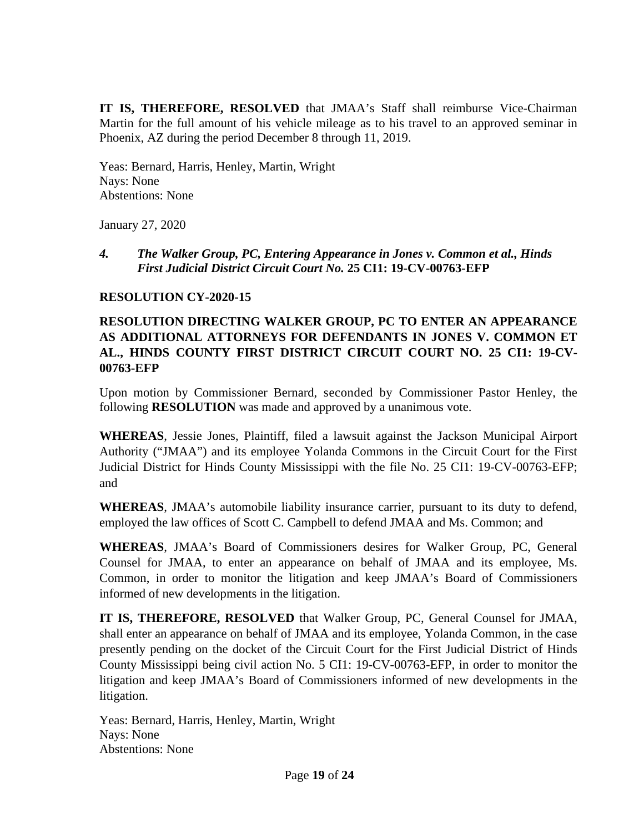**IT IS, THEREFORE, RESOLVED** that JMAA's Staff shall reimburse Vice-Chairman Martin for the full amount of his vehicle mileage as to his travel to an approved seminar in Phoenix, AZ during the period December 8 through 11, 2019.

Yeas: Bernard, Harris, Henley, Martin, Wright Nays: None Abstentions: None

January 27, 2020

#### *4. The Walker Group, PC, Entering Appearance in Jones v. Common et al., Hinds First Judicial District Circuit Court No.* **25 CI1: 19-CV-00763-EFP**

## **RESOLUTION CY-2020-15**

# **RESOLUTION DIRECTING WALKER GROUP, PC TO ENTER AN APPEARANCE AS ADDITIONAL ATTORNEYS FOR DEFENDANTS IN JONES V. COMMON ET AL., HINDS COUNTY FIRST DISTRICT CIRCUIT COURT NO. 25 CI1: 19-CV-00763-EFP**

Upon motion by Commissioner Bernard, seconded by Commissioner Pastor Henley, the following **RESOLUTION** was made and approved by a unanimous vote.

**WHEREAS**, Jessie Jones, Plaintiff, filed a lawsuit against the Jackson Municipal Airport Authority ("JMAA") and its employee Yolanda Commons in the Circuit Court for the First Judicial District for Hinds County Mississippi with the file No. 25 CI1: 19-CV-00763-EFP; and

**WHEREAS**, JMAA's automobile liability insurance carrier, pursuant to its duty to defend, employed the law offices of Scott C. Campbell to defend JMAA and Ms. Common; and

**WHEREAS**, JMAA's Board of Commissioners desires for Walker Group, PC, General Counsel for JMAA, to enter an appearance on behalf of JMAA and its employee, Ms. Common, in order to monitor the litigation and keep JMAA's Board of Commissioners informed of new developments in the litigation.

**IT IS, THEREFORE, RESOLVED** that Walker Group, PC, General Counsel for JMAA, shall enter an appearance on behalf of JMAA and its employee, Yolanda Common, in the case presently pending on the docket of the Circuit Court for the First Judicial District of Hinds County Mississippi being civil action No. 5 CI1: 19-CV-00763-EFP, in order to monitor the litigation and keep JMAA's Board of Commissioners informed of new developments in the litigation.

Yeas: Bernard, Harris, Henley, Martin, Wright Nays: None Abstentions: None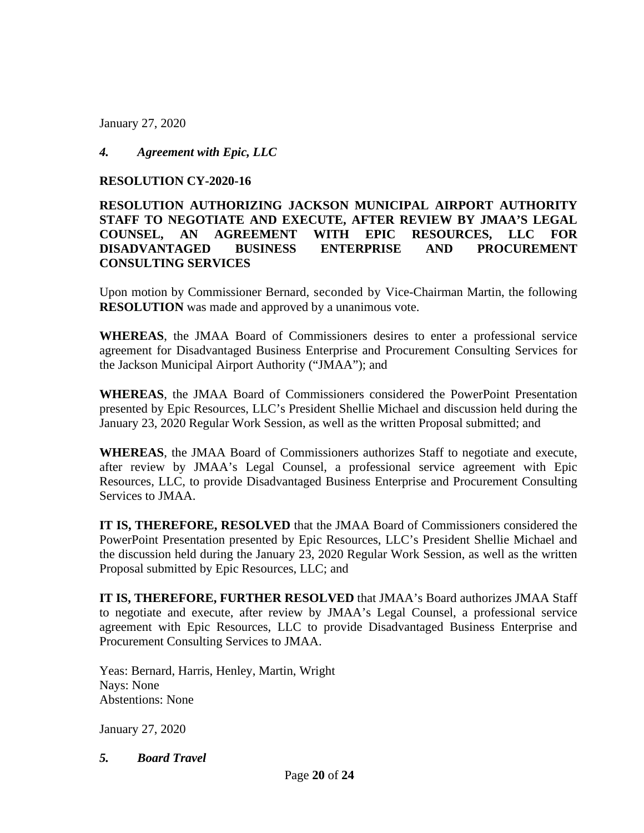January 27, 2020

# *4. Agreement with Epic, LLC*

#### **RESOLUTION CY-2020-16**

## **RESOLUTION AUTHORIZING JACKSON MUNICIPAL AIRPORT AUTHORITY STAFF TO NEGOTIATE AND EXECUTE, AFTER REVIEW BY JMAA'S LEGAL COUNSEL, AN AGREEMENT WITH EPIC RESOURCES, LLC FOR DISADVANTAGED BUSINESS ENTERPRISE AND PROCUREMENT CONSULTING SERVICES**

Upon motion by Commissioner Bernard, seconded by Vice-Chairman Martin, the following **RESOLUTION** was made and approved by a unanimous vote.

**WHEREAS**, the JMAA Board of Commissioners desires to enter a professional service agreement for Disadvantaged Business Enterprise and Procurement Consulting Services for the Jackson Municipal Airport Authority ("JMAA"); and

**WHEREAS**, the JMAA Board of Commissioners considered the PowerPoint Presentation presented by Epic Resources, LLC's President Shellie Michael and discussion held during the January 23, 2020 Regular Work Session, as well as the written Proposal submitted; and

**WHEREAS**, the JMAA Board of Commissioners authorizes Staff to negotiate and execute, after review by JMAA's Legal Counsel, a professional service agreement with Epic Resources, LLC, to provide Disadvantaged Business Enterprise and Procurement Consulting Services to JMAA.

**IT IS, THEREFORE, RESOLVED** that the JMAA Board of Commissioners considered the PowerPoint Presentation presented by Epic Resources, LLC's President Shellie Michael and the discussion held during the January 23, 2020 Regular Work Session, as well as the written Proposal submitted by Epic Resources, LLC; and

**IT IS, THEREFORE, FURTHER RESOLVED** that JMAA's Board authorizes JMAA Staff to negotiate and execute, after review by JMAA's Legal Counsel, a professional service agreement with Epic Resources, LLC to provide Disadvantaged Business Enterprise and Procurement Consulting Services to JMAA.

Yeas: Bernard, Harris, Henley, Martin, Wright Nays: None Abstentions: None

January 27, 2020

*5. Board Travel*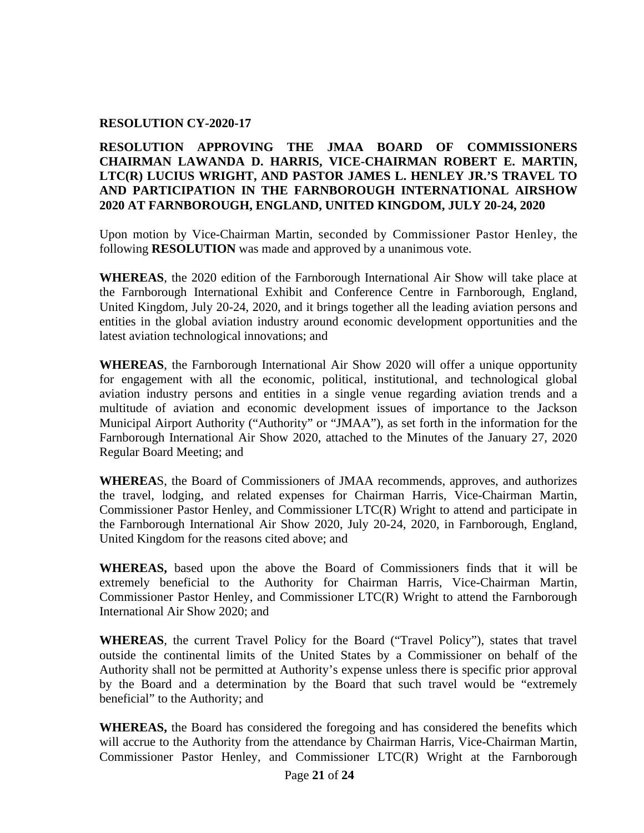#### **RESOLUTION CY-2020-17**

## **RESOLUTION APPROVING THE JMAA BOARD OF COMMISSIONERS CHAIRMAN LAWANDA D. HARRIS, VICE-CHAIRMAN ROBERT E. MARTIN, LTC(R) LUCIUS WRIGHT, AND PASTOR JAMES L. HENLEY JR.'S TRAVEL TO AND PARTICIPATION IN THE FARNBOROUGH INTERNATIONAL AIRSHOW 2020 AT FARNBOROUGH, ENGLAND, UNITED KINGDOM, JULY 20-24, 2020**

Upon motion by Vice-Chairman Martin, seconded by Commissioner Pastor Henley, the following **RESOLUTION** was made and approved by a unanimous vote.

**WHEREAS**, the 2020 edition of the Farnborough International Air Show will take place at the Farnborough International Exhibit and Conference Centre in Farnborough, England, United Kingdom, July 20-24, 2020, and it brings together all the leading aviation persons and entities in the global aviation industry around economic development opportunities and the latest aviation technological innovations; and

**WHEREAS**, the Farnborough International Air Show 2020 will offer a unique opportunity for engagement with all the economic, political, institutional, and technological global aviation industry persons and entities in a single venue regarding aviation trends and a multitude of aviation and economic development issues of importance to the Jackson Municipal Airport Authority ("Authority" or "JMAA"), as set forth in the information for the Farnborough International Air Show 2020, attached to the Minutes of the January 27, 2020 Regular Board Meeting; and

**WHEREA**S, the Board of Commissioners of JMAA recommends, approves, and authorizes the travel, lodging, and related expenses for Chairman Harris, Vice-Chairman Martin, Commissioner Pastor Henley, and Commissioner LTC(R) Wright to attend and participate in the Farnborough International Air Show 2020, July 20-24, 2020, in Farnborough, England, United Kingdom for the reasons cited above; and

**WHEREAS,** based upon the above the Board of Commissioners finds that it will be extremely beneficial to the Authority for Chairman Harris, Vice-Chairman Martin, Commissioner Pastor Henley, and Commissioner LTC(R) Wright to attend the Farnborough International Air Show 2020; and

**WHEREAS**, the current Travel Policy for the Board ("Travel Policy"), states that travel outside the continental limits of the United States by a Commissioner on behalf of the Authority shall not be permitted at Authority's expense unless there is specific prior approval by the Board and a determination by the Board that such travel would be "extremely beneficial" to the Authority; and

**WHEREAS,** the Board has considered the foregoing and has considered the benefits which will accrue to the Authority from the attendance by Chairman Harris, Vice-Chairman Martin, Commissioner Pastor Henley, and Commissioner LTC(R) Wright at the Farnborough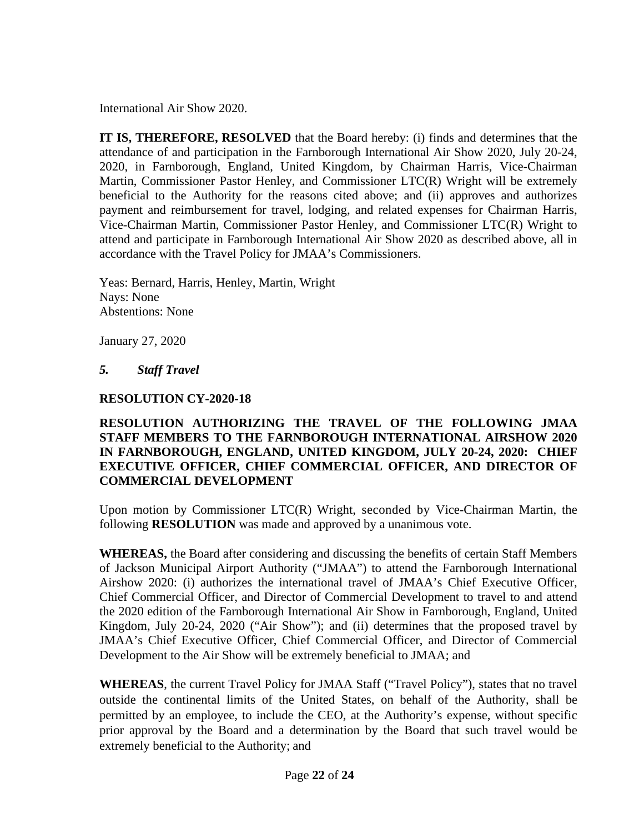International Air Show 2020.

**IT IS, THEREFORE, RESOLVED** that the Board hereby: (i) finds and determines that the attendance of and participation in the Farnborough International Air Show 2020, July 20-24, 2020, in Farnborough, England, United Kingdom, by Chairman Harris, Vice-Chairman Martin, Commissioner Pastor Henley, and Commissioner LTC(R) Wright will be extremely beneficial to the Authority for the reasons cited above; and (ii) approves and authorizes payment and reimbursement for travel, lodging, and related expenses for Chairman Harris, Vice-Chairman Martin, Commissioner Pastor Henley, and Commissioner LTC(R) Wright to attend and participate in Farnborough International Air Show 2020 as described above, all in accordance with the Travel Policy for JMAA's Commissioners.

Yeas: Bernard, Harris, Henley, Martin, Wright Nays: None Abstentions: None

January 27, 2020

# *5. Staff Travel*

## **RESOLUTION CY-2020-18**

## **RESOLUTION AUTHORIZING THE TRAVEL OF THE FOLLOWING JMAA STAFF MEMBERS TO THE FARNBOROUGH INTERNATIONAL AIRSHOW 2020 IN FARNBOROUGH, ENGLAND, UNITED KINGDOM, JULY 20-24, 2020: CHIEF EXECUTIVE OFFICER, CHIEF COMMERCIAL OFFICER, AND DIRECTOR OF COMMERCIAL DEVELOPMENT**

Upon motion by Commissioner LTC(R) Wright, seconded by Vice-Chairman Martin, the following **RESOLUTION** was made and approved by a unanimous vote.

**WHEREAS,** the Board after considering and discussing the benefits of certain Staff Members of Jackson Municipal Airport Authority ("JMAA") to attend the Farnborough International Airshow 2020: (i) authorizes the international travel of JMAA's Chief Executive Officer, Chief Commercial Officer, and Director of Commercial Development to travel to and attend the 2020 edition of the Farnborough International Air Show in Farnborough, England, United Kingdom, July 20-24, 2020 ("Air Show"); and (ii) determines that the proposed travel by JMAA's Chief Executive Officer, Chief Commercial Officer, and Director of Commercial Development to the Air Show will be extremely beneficial to JMAA; and

**WHEREAS**, the current Travel Policy for JMAA Staff ("Travel Policy"), states that no travel outside the continental limits of the United States, on behalf of the Authority, shall be permitted by an employee, to include the CEO, at the Authority's expense, without specific prior approval by the Board and a determination by the Board that such travel would be extremely beneficial to the Authority; and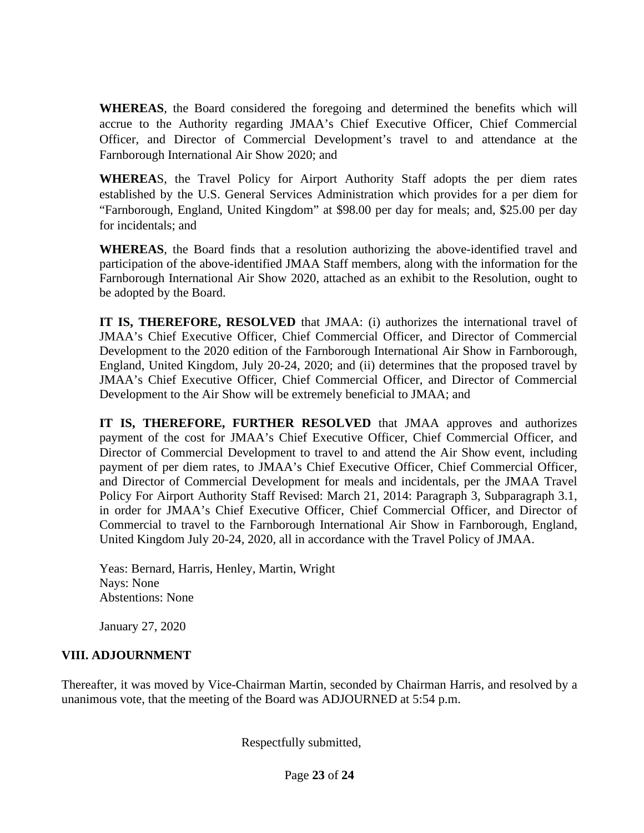**WHEREAS**, the Board considered the foregoing and determined the benefits which will accrue to the Authority regarding JMAA's Chief Executive Officer, Chief Commercial Officer, and Director of Commercial Development's travel to and attendance at the Farnborough International Air Show 2020; and

**WHEREA**S, the Travel Policy for Airport Authority Staff adopts the per diem rates established by the U.S. General Services Administration which provides for a per diem for "Farnborough, England, United Kingdom" at \$98.00 per day for meals; and, \$25.00 per day for incidentals; and

**WHEREAS**, the Board finds that a resolution authorizing the above-identified travel and participation of the above-identified JMAA Staff members, along with the information for the Farnborough International Air Show 2020, attached as an exhibit to the Resolution, ought to be adopted by the Board.

**IT IS, THEREFORE, RESOLVED** that JMAA: (i) authorizes the international travel of JMAA's Chief Executive Officer, Chief Commercial Officer, and Director of Commercial Development to the 2020 edition of the Farnborough International Air Show in Farnborough, England, United Kingdom, July 20-24, 2020; and (ii) determines that the proposed travel by JMAA's Chief Executive Officer, Chief Commercial Officer, and Director of Commercial Development to the Air Show will be extremely beneficial to JMAA; and

**IT IS, THEREFORE, FURTHER RESOLVED** that JMAA approves and authorizes payment of the cost for JMAA's Chief Executive Officer, Chief Commercial Officer, and Director of Commercial Development to travel to and attend the Air Show event, including payment of per diem rates, to JMAA's Chief Executive Officer, Chief Commercial Officer, and Director of Commercial Development for meals and incidentals, per the JMAA Travel Policy For Airport Authority Staff Revised: March 21, 2014: Paragraph 3, Subparagraph 3.1, in order for JMAA's Chief Executive Officer, Chief Commercial Officer, and Director of Commercial to travel to the Farnborough International Air Show in Farnborough, England, United Kingdom July 20-24, 2020, all in accordance with the Travel Policy of JMAA.

Yeas: Bernard, Harris, Henley, Martin, Wright Nays: None Abstentions: None

January 27, 2020

# **VIII. ADJOURNMENT**

Thereafter, it was moved by Vice-Chairman Martin, seconded by Chairman Harris, and resolved by a unanimous vote, that the meeting of the Board was ADJOURNED at 5:54 p.m.

Respectfully submitted,